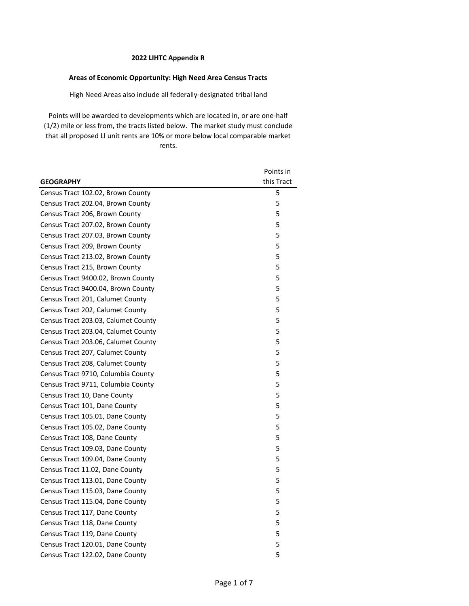# **Areas of Economic Opportunity: High Need Area Census Tracts**

High Need Areas also include all federally-designated tribal land

|                                     | Points in  |
|-------------------------------------|------------|
| <b>GEOGRAPHY</b>                    | this Tract |
| Census Tract 102.02, Brown County   | 5          |
| Census Tract 202.04, Brown County   | 5          |
| Census Tract 206, Brown County      | 5          |
| Census Tract 207.02, Brown County   | 5          |
| Census Tract 207.03, Brown County   | 5          |
| Census Tract 209, Brown County      | 5          |
| Census Tract 213.02, Brown County   | 5          |
| Census Tract 215, Brown County      | 5          |
| Census Tract 9400.02, Brown County  | 5          |
| Census Tract 9400.04, Brown County  | 5          |
| Census Tract 201, Calumet County    | 5          |
| Census Tract 202, Calumet County    | 5          |
| Census Tract 203.03, Calumet County | 5          |
| Census Tract 203.04, Calumet County | 5          |
| Census Tract 203.06, Calumet County | 5          |
| Census Tract 207, Calumet County    | 5          |
| Census Tract 208, Calumet County    | 5          |
| Census Tract 9710, Columbia County  | 5          |
| Census Tract 9711, Columbia County  | 5          |
| Census Tract 10, Dane County        | 5          |
| Census Tract 101, Dane County       | 5          |
| Census Tract 105.01, Dane County    | 5          |
| Census Tract 105.02, Dane County    | 5          |
| Census Tract 108, Dane County       | 5          |
| Census Tract 109.03, Dane County    | 5          |
| Census Tract 109.04, Dane County    | 5          |
| Census Tract 11.02, Dane County     | 5          |
| Census Tract 113.01, Dane County    | 5          |
| Census Tract 115.03, Dane County    | 5          |
| Census Tract 115.04, Dane County    | 5          |
| Census Tract 117, Dane County       | 5          |
| Census Tract 118, Dane County       | 5          |
| Census Tract 119, Dane County       | 5          |
| Census Tract 120.01, Dane County    | 5          |
| Census Tract 122.02, Dane County    | 5          |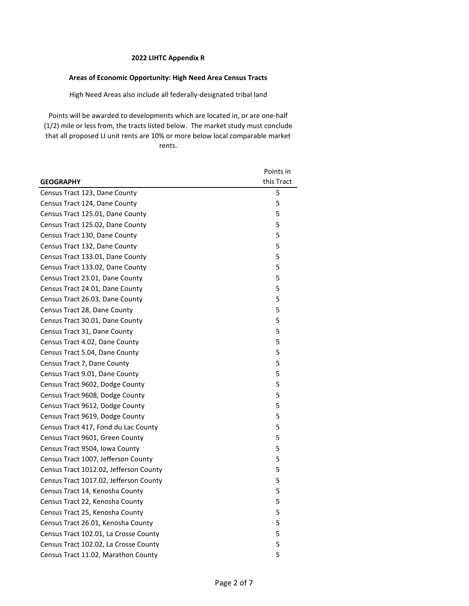# **Areas of Economic Opportunity: High Need Area Census Tracts**

High Need Areas also include all federally-designated tribal land

|                                        | Points in  |
|----------------------------------------|------------|
| <b>GEOGRAPHY</b>                       | this Tract |
| Census Tract 123, Dane County          | 5          |
| Census Tract 124, Dane County          | 5          |
| Census Tract 125.01, Dane County       | 5          |
| Census Tract 125.02, Dane County       | 5          |
| Census Tract 130, Dane County          | 5          |
| Census Tract 132, Dane County          | 5          |
| Census Tract 133.01, Dane County       | 5          |
| Census Tract 133.02, Dane County       | 5          |
| Census Tract 23.01, Dane County        | 5          |
| Census Tract 24.01, Dane County        | 5          |
| Census Tract 26.03, Dane County        | 5          |
| Census Tract 28, Dane County           | 5          |
| Census Tract 30.01, Dane County        | 5          |
| Census Tract 31, Dane County           | 5          |
| Census Tract 4.02, Dane County         | 5          |
| Census Tract 5.04, Dane County         | 5          |
| Census Tract 7, Dane County            | 5          |
| Census Tract 9.01, Dane County         | 5          |
| Census Tract 9602, Dodge County        | 5          |
| Census Tract 9608, Dodge County        | 5          |
| Census Tract 9612, Dodge County        | 5          |
| Census Tract 9619, Dodge County        | 5          |
| Census Tract 417, Fond du Lac County   | 5          |
| Census Tract 9601, Green County        | 5          |
| Census Tract 9504, Iowa County         | 5          |
| Census Tract 1007, Jefferson County    | 5          |
| Census Tract 1012.02, Jefferson County | 5          |
| Census Tract 1017.02, Jefferson County | 5          |
| Census Tract 14, Kenosha County        | 5          |
| Census Tract 22, Kenosha County        | 5          |
| Census Tract 25, Kenosha County        | 5          |
| Census Tract 26.01, Kenosha County     | 5          |
| Census Tract 102.01, La Crosse County  | 5          |
| Census Tract 102.02, La Crosse County  | 5          |
| Census Tract 11.02, Marathon County    | 5          |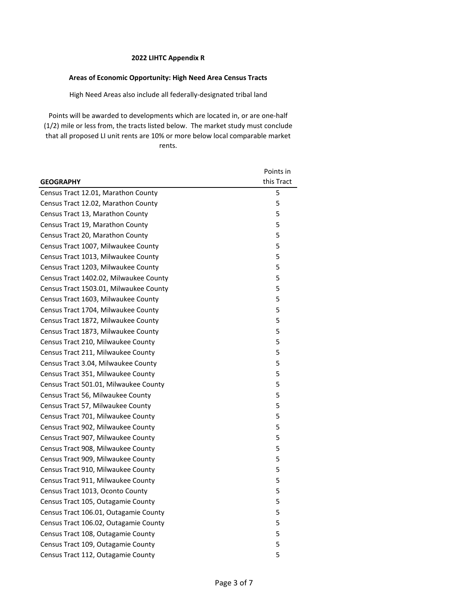# **Areas of Economic Opportunity: High Need Area Census Tracts**

High Need Areas also include all federally-designated tribal land

|                                        | Points in  |
|----------------------------------------|------------|
| <b>GEOGRAPHY</b>                       | this Tract |
| Census Tract 12.01, Marathon County    | 5          |
| Census Tract 12.02, Marathon County    | 5          |
| Census Tract 13, Marathon County       | 5          |
| Census Tract 19, Marathon County       | 5          |
| Census Tract 20, Marathon County       | 5          |
| Census Tract 1007, Milwaukee County    | 5          |
| Census Tract 1013, Milwaukee County    | 5          |
| Census Tract 1203, Milwaukee County    | 5          |
| Census Tract 1402.02, Milwaukee County | 5          |
| Census Tract 1503.01, Milwaukee County | 5          |
| Census Tract 1603, Milwaukee County    | 5          |
| Census Tract 1704, Milwaukee County    | 5          |
| Census Tract 1872, Milwaukee County    | 5          |
| Census Tract 1873, Milwaukee County    | 5          |
| Census Tract 210, Milwaukee County     | 5          |
| Census Tract 211, Milwaukee County     | 5          |
| Census Tract 3.04, Milwaukee County    | 5          |
| Census Tract 351, Milwaukee County     | 5          |
| Census Tract 501.01, Milwaukee County  | 5          |
| Census Tract 56, Milwaukee County      | 5          |
| Census Tract 57, Milwaukee County      | 5          |
| Census Tract 701, Milwaukee County     | 5          |
| Census Tract 902, Milwaukee County     | 5          |
| Census Tract 907, Milwaukee County     | 5          |
| Census Tract 908, Milwaukee County     | 5          |
| Census Tract 909, Milwaukee County     | 5          |
| Census Tract 910, Milwaukee County     | 5          |
| Census Tract 911, Milwaukee County     | 5          |
| Census Tract 1013, Oconto County       | 5          |
| Census Tract 105, Outagamie County     | 5          |
| Census Tract 106.01, Outagamie County  | 5          |
| Census Tract 106.02, Outagamie County  | 5          |
| Census Tract 108, Outagamie County     | 5          |
| Census Tract 109, Outagamie County     | 5          |
| Census Tract 112, Outagamie County     | 5          |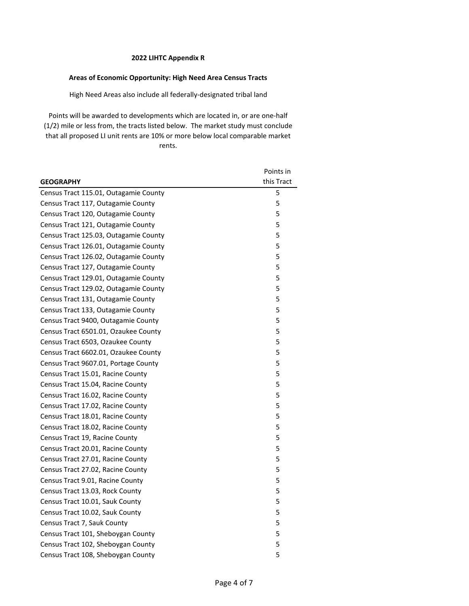# **Areas of Economic Opportunity: High Need Area Census Tracts**

High Need Areas also include all federally-designated tribal land

|                                       | Points in  |
|---------------------------------------|------------|
| <b>GEOGRAPHY</b>                      | this Tract |
| Census Tract 115.01, Outagamie County | 5          |
| Census Tract 117, Outagamie County    | 5          |
| Census Tract 120, Outagamie County    | 5          |
| Census Tract 121, Outagamie County    | 5          |
| Census Tract 125.03, Outagamie County | 5          |
| Census Tract 126.01, Outagamie County | 5          |
| Census Tract 126.02, Outagamie County | 5          |
| Census Tract 127, Outagamie County    | 5          |
| Census Tract 129.01, Outagamie County | 5          |
| Census Tract 129.02, Outagamie County | 5          |
| Census Tract 131, Outagamie County    | 5          |
| Census Tract 133, Outagamie County    | 5          |
| Census Tract 9400, Outagamie County   | 5          |
| Census Tract 6501.01, Ozaukee County  | 5          |
| Census Tract 6503, Ozaukee County     | 5          |
| Census Tract 6602.01, Ozaukee County  | 5          |
| Census Tract 9607.01, Portage County  | 5          |
| Census Tract 15.01, Racine County     | 5          |
| Census Tract 15.04, Racine County     | 5          |
| Census Tract 16.02, Racine County     | 5          |
| Census Tract 17.02, Racine County     | 5          |
| Census Tract 18.01, Racine County     | 5          |
| Census Tract 18.02, Racine County     | 5          |
| Census Tract 19, Racine County        | 5          |
| Census Tract 20.01, Racine County     | 5          |
| Census Tract 27.01, Racine County     | 5          |
| Census Tract 27.02, Racine County     | 5          |
| Census Tract 9.01, Racine County      | 5          |
| Census Tract 13.03, Rock County       | 5          |
| Census Tract 10.01, Sauk County       | 5          |
| Census Tract 10.02, Sauk County       | 5          |
| Census Tract 7, Sauk County           | 5          |
| Census Tract 101, Sheboygan County    | 5          |
| Census Tract 102, Sheboygan County    | 5          |
| Census Tract 108, Sheboygan County    | 5          |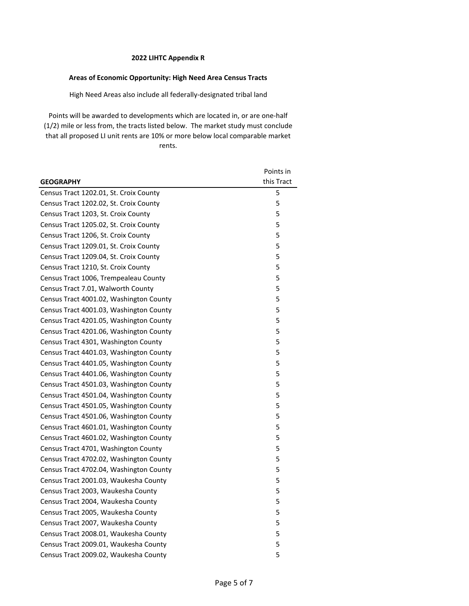## **Areas of Economic Opportunity: High Need Area Census Tracts**

High Need Areas also include all federally-designated tribal land

|                                         | Points in  |
|-----------------------------------------|------------|
| <b>GEOGRAPHY</b>                        | this Tract |
| Census Tract 1202.01, St. Croix County  | 5          |
| Census Tract 1202.02, St. Croix County  | 5          |
| Census Tract 1203, St. Croix County     | 5          |
| Census Tract 1205.02, St. Croix County  | 5          |
| Census Tract 1206, St. Croix County     | 5          |
| Census Tract 1209.01, St. Croix County  | 5          |
| Census Tract 1209.04, St. Croix County  | 5          |
| Census Tract 1210, St. Croix County     | 5          |
| Census Tract 1006, Trempealeau County   | 5          |
| Census Tract 7.01, Walworth County      | 5          |
| Census Tract 4001.02, Washington County | 5          |
| Census Tract 4001.03, Washington County | 5          |
| Census Tract 4201.05, Washington County | 5          |
| Census Tract 4201.06, Washington County | 5          |
| Census Tract 4301, Washington County    | 5          |
| Census Tract 4401.03, Washington County | 5          |
| Census Tract 4401.05, Washington County | 5          |
| Census Tract 4401.06, Washington County | 5          |
| Census Tract 4501.03, Washington County | 5          |
| Census Tract 4501.04, Washington County | 5          |
| Census Tract 4501.05, Washington County | 5          |
| Census Tract 4501.06, Washington County | 5          |
| Census Tract 4601.01, Washington County | 5          |
| Census Tract 4601.02, Washington County | 5          |
| Census Tract 4701, Washington County    | 5          |
| Census Tract 4702.02, Washington County | 5          |
| Census Tract 4702.04, Washington County | 5          |
| Census Tract 2001.03, Waukesha County   | 5          |
| Census Tract 2003, Waukesha County      | 5          |
| Census Tract 2004, Waukesha County      | 5          |
| Census Tract 2005, Waukesha County      | 5          |
| Census Tract 2007, Waukesha County      | 5          |
| Census Tract 2008.01, Waukesha County   | 5          |
| Census Tract 2009.01, Waukesha County   | 5          |
| Census Tract 2009.02, Waukesha County   | 5          |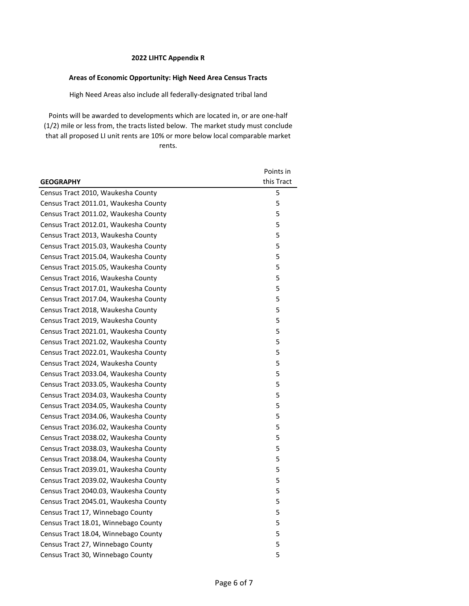# **Areas of Economic Opportunity: High Need Area Census Tracts**

High Need Areas also include all federally-designated tribal land

|                                       | Points in  |
|---------------------------------------|------------|
| <b>GEOGRAPHY</b>                      | this Tract |
| Census Tract 2010, Waukesha County    | 5          |
| Census Tract 2011.01, Waukesha County | 5          |
| Census Tract 2011.02, Waukesha County | 5          |
| Census Tract 2012.01, Waukesha County | 5          |
| Census Tract 2013, Waukesha County    | 5          |
| Census Tract 2015.03, Waukesha County | 5          |
| Census Tract 2015.04, Waukesha County | 5          |
| Census Tract 2015.05, Waukesha County | 5          |
| Census Tract 2016, Waukesha County    | 5          |
| Census Tract 2017.01, Waukesha County | 5          |
| Census Tract 2017.04, Waukesha County | 5          |
| Census Tract 2018, Waukesha County    | 5          |
| Census Tract 2019, Waukesha County    | 5          |
| Census Tract 2021.01, Waukesha County | 5          |
| Census Tract 2021.02, Waukesha County | 5          |
| Census Tract 2022.01, Waukesha County | 5          |
| Census Tract 2024, Waukesha County    | 5          |
| Census Tract 2033.04, Waukesha County | 5          |
| Census Tract 2033.05, Waukesha County | 5          |
| Census Tract 2034.03, Waukesha County | 5          |
| Census Tract 2034.05, Waukesha County | 5          |
| Census Tract 2034.06, Waukesha County | 5          |
| Census Tract 2036.02, Waukesha County | 5          |
| Census Tract 2038.02, Waukesha County | 5          |
| Census Tract 2038.03, Waukesha County | 5          |
| Census Tract 2038.04, Waukesha County | 5          |
| Census Tract 2039.01, Waukesha County | 5          |
| Census Tract 2039.02, Waukesha County | 5          |
| Census Tract 2040.03, Waukesha County | 5          |
| Census Tract 2045.01, Waukesha County | 5          |
| Census Tract 17, Winnebago County     | 5          |
| Census Tract 18.01, Winnebago County  | 5          |
| Census Tract 18.04, Winnebago County  | 5          |
| Census Tract 27, Winnebago County     | 5          |
| Census Tract 30, Winnebago County     | 5          |